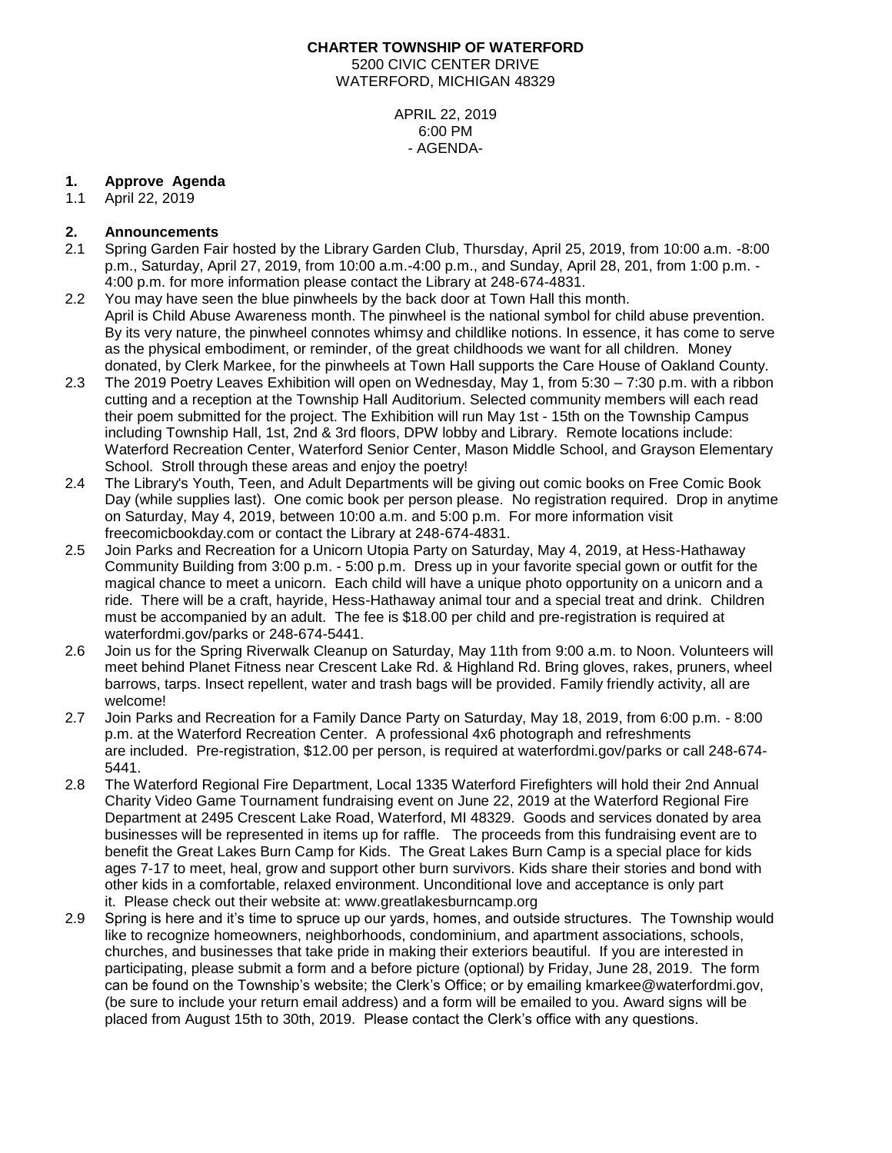# **CHARTER TOWNSHIP OF WATERFORD** 5200 CIVIC CENTER DRIVE WATERFORD, MICHIGAN 48329

APRIL 22, 2019 6:00 PM - AGENDA-

## **1. Approve Agenda**

1.1 April 22, 2019

## **2. Announcements**

- 2.1 Spring Garden Fair hosted by the Library Garden Club, Thursday, April 25, 2019, from 10:00 a.m. -8:00 p.m., Saturday, April 27, 2019, from 10:00 a.m.-4:00 p.m., and Sunday, April 28, 201, from 1:00 p.m. - 4:00 p.m. for more information please contact the Library at 248-674-4831.
- 2.2 You may have seen the blue pinwheels by the back door at Town Hall this month. April is Child Abuse Awareness month. The pinwheel is the national symbol for child abuse prevention. By its very nature, the pinwheel connotes whimsy and childlike notions. In essence, it has come to serve as the physical embodiment, or reminder, of the great childhoods we want for all children. Money donated, by Clerk Markee, for the pinwheels at Town Hall supports the Care House of Oakland County.
- 2.3 The 2019 Poetry Leaves Exhibition will open on Wednesday, May 1, from 5:30 7:30 p.m. with a ribbon cutting and a reception at the Township Hall Auditorium. Selected community members will each read their poem submitted for the project. The Exhibition will run May 1st - 15th on the Township Campus including Township Hall, 1st, 2nd & 3rd floors, DPW lobby and Library. Remote locations include: Waterford Recreation Center, Waterford Senior Center, Mason Middle School, and Grayson Elementary School. Stroll through these areas and enjoy the poetry!
- 2.4 The Library's Youth, Teen, and Adult Departments will be giving out comic books on Free Comic Book Day (while supplies last). One comic book per person please. No registration required. Drop in anytime on Saturday, May 4, 2019, between 10:00 a.m. and 5:00 p.m. For more information visit freecomicbookday.com or contact the Library at 248-674-4831.
- 2.5 Join Parks and Recreation for a Unicorn Utopia Party on Saturday, May 4, 2019, at Hess-Hathaway Community Building from 3:00 p.m. - 5:00 p.m. Dress up in your favorite special gown or outfit for the magical chance to meet a unicorn. Each child will have a unique photo opportunity on a unicorn and a ride. There will be a craft, hayride, Hess-Hathaway animal tour and a special treat and drink. Children must be accompanied by an adult. The fee is \$18.00 per child and pre-registration is required at waterfordmi.gov/parks or 248-674-5441.
- 2.6 Join us for the Spring Riverwalk Cleanup on Saturday, May 11th from 9:00 a.m. to Noon. Volunteers will meet behind Planet Fitness near Crescent Lake Rd. & Highland Rd. Bring gloves, rakes, pruners, wheel barrows, tarps. Insect repellent, water and trash bags will be provided. Family friendly activity, all are welcome!
- 2.7 Join Parks and Recreation for a Family Dance Party on Saturday, May 18, 2019, from 6:00 p.m. 8:00 p.m. at the Waterford Recreation Center. A professional 4x6 photograph and refreshments are included. Pre-registration, \$12.00 per person, is required at waterfordmi.gov/parks or call 248-674- 5441.
- 2.8 The Waterford Regional Fire Department, Local 1335 Waterford Firefighters will hold their 2nd Annual Charity Video Game Tournament fundraising event on June 22, 2019 at the Waterford Regional Fire Department at 2495 Crescent Lake Road, Waterford, MI 48329. Goods and services donated by area businesses will be represented in items up for raffle. The proceeds from this fundraising event are to benefit the Great Lakes Burn Camp for Kids. The Great Lakes Burn Camp is a special place for kids ages 7-17 to meet, heal, grow and support other burn survivors. Kids share their stories and bond with other kids in a comfortable, relaxed environment. Unconditional love and acceptance is only part it. Please check out their website at: www.greatlakesburncamp.org
- 2.9 Spring is here and it's time to spruce up our yards, homes, and outside structures. The Township would like to recognize homeowners, neighborhoods, condominium, and apartment associations, schools, churches, and businesses that take pride in making their exteriors beautiful. If you are interested in participating, please submit a form and a before picture (optional) by Friday, June 28, 2019. The form can be found on the Township's website; the Clerk's Office; or by emailing kmarkee@waterfordmi.gov, (be sure to include your return email address) and a form will be emailed to you. Award signs will be placed from August 15th to 30th, 2019. Please contact the Clerk's office with any questions.